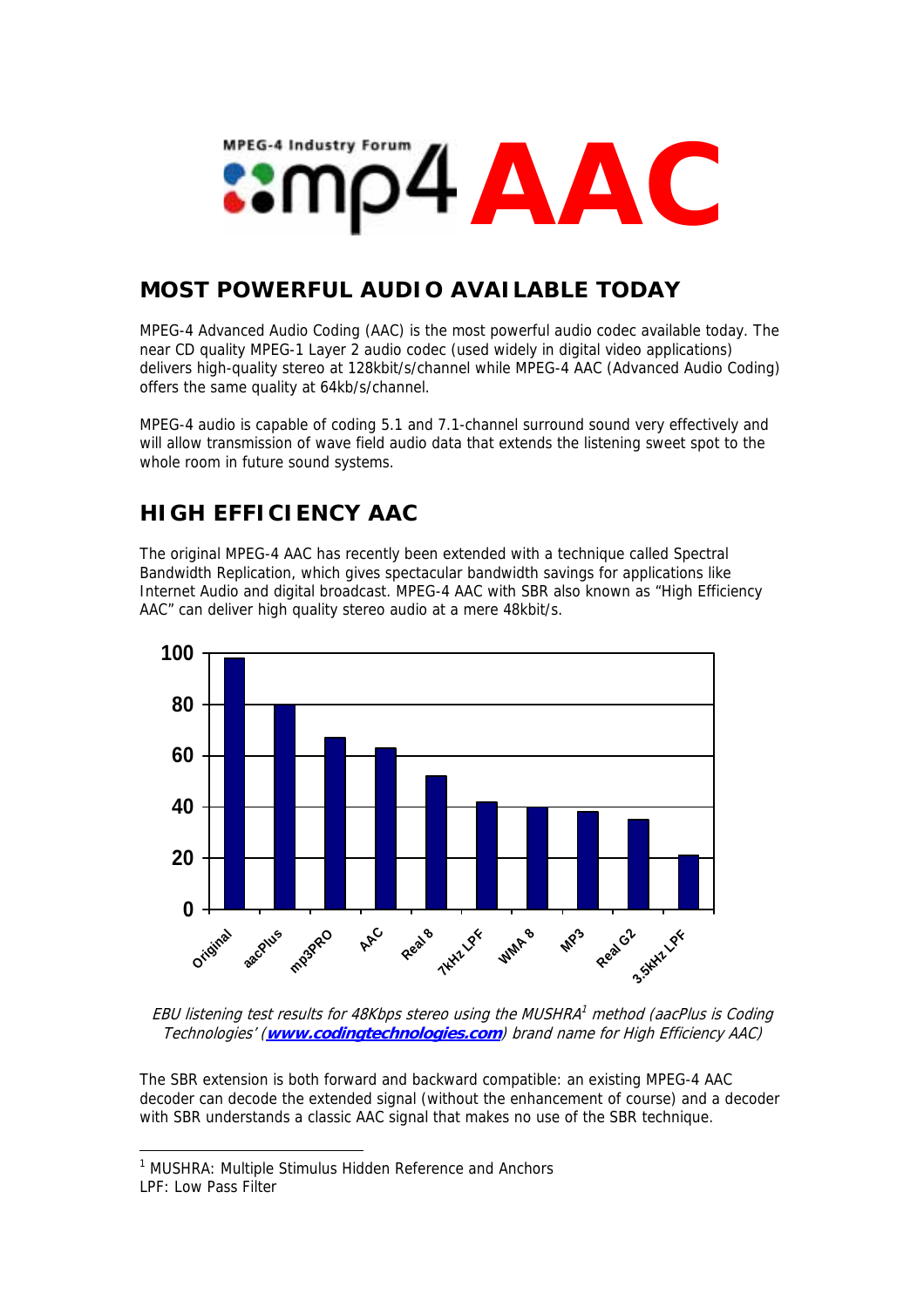# **MPEG-4 Industry Forul AAC**

#### **MOST POWERFUL AUDIO AVAILABLE TODAY**

MPEG-4 Advanced Audio Coding (AAC) is the most powerful audio codec available today. The near CD quality MPEG-1 Layer 2 audio codec (used widely in digital video applications) delivers high-quality stereo at 128kbit/s/channel while MPEG-4 AAC (Advanced Audio Coding) offers the same quality at 64kb/s/channel.

MPEG-4 audio is capable of coding 5.1 and 7.1-channel surround sound very effectively and will allow transmission of wave field audio data that extends the listening sweet spot to the whole room in future sound systems.

#### **HIGH EFFICIENCY AAC**

The original MPEG-4 AAC has recently been extended with a technique called Spectral Bandwidth Replication, which gives spectacular bandwidth savings for applications like Internet Audio and digital broadcast. MPEG-4 AAC with SBR also known as "High Efficiency AAC" can deliver high quality stereo audio at a mere 48kbit/s.



EBU listening test results for 48Kbps stereo using the MUSHRA<sup>[1](#page-0-0)</sup> method (aacPlus is Coding Technologies' (**[www.codingtechnologies.com](http://www.codingtechnologies.com/)**) brand name for High Efficiency AAC)

The SBR extension is both forward and backward compatible: an existing MPEG-4 AAC decoder can decode the extended signal (without the enhancement of course) and a decoder with SBR understands a classic AAC signal that makes no use of the SBR technique.

<span id="page-0-0"></span> <sup>1</sup> MUSHRA: Multiple Stimulus Hidden Reference and Anchors LPF: Low Pass Filter